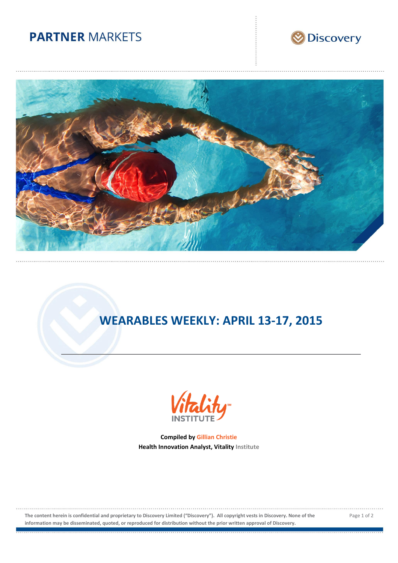## **PARTNER MARKETS**





# **WEARABLES WEEKLY: APRIL 13-17, 2015**



**Compiled by Gillian Christie Health Innovation Analyst, Vitality Institute**

**The content herein is confidential and proprietary to Discovery Limited ("Discovery"). All copyright vests in Discovery. None of the information may be disseminated, quoted, or reproduced for distribution without the prior written approval of Discovery.**

Page 1 of 2